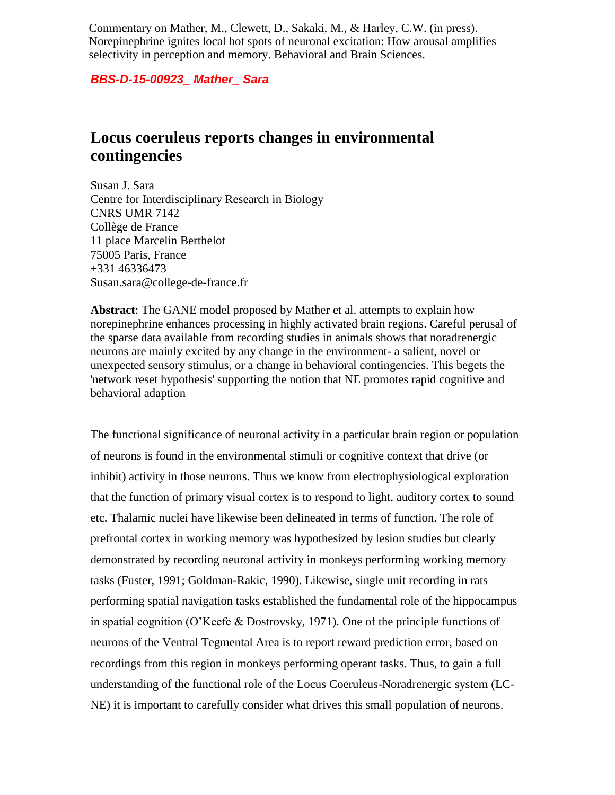Commentary on Mather, M., Clewett, D., Sakaki, M., & Harley, C.W. (in press). Norepinephrine ignites local hot spots of neuronal excitation: How arousal amplifies selectivity in perception and memory. Behavioral and Brain Sciences.

*BBS-D-15-00923\_ Mather\_ Sara* 

## **Locus coeruleus reports changes in environmental contingencies**

Susan J. Sara Centre for Interdisciplinary Research in Biology CNRS UMR 7142 Collège de France 11 place Marcelin Berthelot 75005 Paris, France +331 46336473 Susan.sara@college-de-france.fr

**Abstract**: The GANE model proposed by Mather et al. attempts to explain how norepinephrine enhances processing in highly activated brain regions. Careful perusal of the sparse data available from recording studies in animals shows that noradrenergic neurons are mainly excited by any change in the environment- a salient, novel or unexpected sensory stimulus, or a change in behavioral contingencies. This begets the 'network reset hypothesis' supporting the notion that NE promotes rapid cognitive and behavioral adaption

The functional significance of neuronal activity in a particular brain region or population of neurons is found in the environmental stimuli or cognitive context that drive (or inhibit) activity in those neurons. Thus we know from electrophysiological exploration that the function of primary visual cortex is to respond to light, auditory cortex to sound etc. Thalamic nuclei have likewise been delineated in terms of function. The role of prefrontal cortex in working memory was hypothesized by lesion studies but clearly demonstrated by recording neuronal activity in monkeys performing working memory tasks (Fuster, 1991; Goldman-Rakic, 1990). Likewise, single unit recording in rats performing spatial navigation tasks established the fundamental role of the hippocampus in spatial cognition (O'Keefe & Dostrovsky, 1971). One of the principle functions of neurons of the Ventral Tegmental Area is to report reward prediction error, based on recordings from this region in monkeys performing operant tasks. Thus, to gain a full understanding of the functional role of the Locus Coeruleus-Noradrenergic system (LC-NE) it is important to carefully consider what drives this small population of neurons.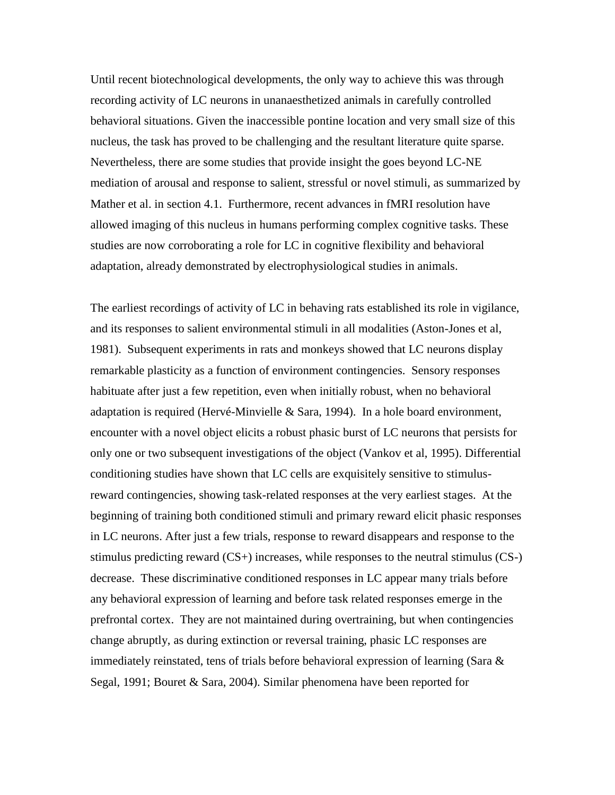Until recent biotechnological developments, the only way to achieve this was through recording activity of LC neurons in unanaesthetized animals in carefully controlled behavioral situations. Given the inaccessible pontine location and very small size of this nucleus, the task has proved to be challenging and the resultant literature quite sparse. Nevertheless, there are some studies that provide insight the goes beyond LC-NE mediation of arousal and response to salient, stressful or novel stimuli, as summarized by Mather et al. in section 4.1. Furthermore, recent advances in fMRI resolution have allowed imaging of this nucleus in humans performing complex cognitive tasks. These studies are now corroborating a role for LC in cognitive flexibility and behavioral adaptation, already demonstrated by electrophysiological studies in animals.

The earliest recordings of activity of LC in behaving rats established its role in vigilance, and its responses to salient environmental stimuli in all modalities (Aston-Jones et al, 1981). Subsequent experiments in rats and monkeys showed that LC neurons display remarkable plasticity as a function of environment contingencies. Sensory responses habituate after just a few repetition, even when initially robust, when no behavioral adaptation is required (Hervé-Minvielle & Sara, 1994). In a hole board environment, encounter with a novel object elicits a robust phasic burst of LC neurons that persists for only one or two subsequent investigations of the object (Vankov et al, 1995). Differential conditioning studies have shown that LC cells are exquisitely sensitive to stimulusreward contingencies, showing task-related responses at the very earliest stages. At the beginning of training both conditioned stimuli and primary reward elicit phasic responses in LC neurons. After just a few trials, response to reward disappears and response to the stimulus predicting reward (CS+) increases, while responses to the neutral stimulus (CS-) decrease. These discriminative conditioned responses in LC appear many trials before any behavioral expression of learning and before task related responses emerge in the prefrontal cortex. They are not maintained during overtraining, but when contingencies change abruptly, as during extinction or reversal training, phasic LC responses are immediately reinstated, tens of trials before behavioral expression of learning (Sara  $\&$ Segal, 1991; Bouret & Sara, 2004). Similar phenomena have been reported for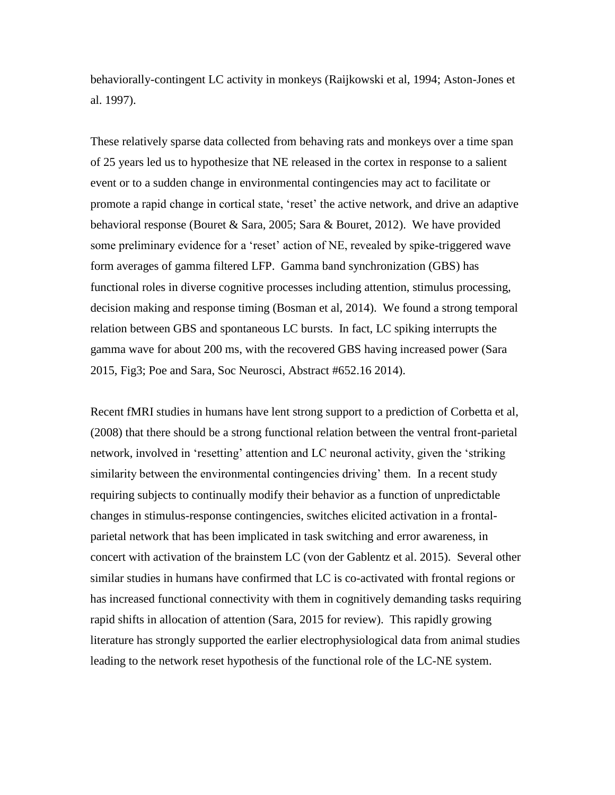behaviorally-contingent LC activity in monkeys (Raijkowski et al, 1994; Aston-Jones et al. 1997).

These relatively sparse data collected from behaving rats and monkeys over a time span of 25 years led us to hypothesize that NE released in the cortex in response to a salient event or to a sudden change in environmental contingencies may act to facilitate or promote a rapid change in cortical state, 'reset' the active network, and drive an adaptive behavioral response (Bouret & Sara, 2005; Sara & Bouret, 2012). We have provided some preliminary evidence for a 'reset' action of NE, revealed by spike-triggered wave form averages of gamma filtered LFP. Gamma band synchronization (GBS) has functional roles in diverse cognitive processes including attention, stimulus processing, decision making and response timing (Bosman et al, 2014). We found a strong temporal relation between GBS and spontaneous LC bursts. In fact, LC spiking interrupts the gamma wave for about 200 ms, with the recovered GBS having increased power (Sara 2015, Fig3; Poe and Sara, Soc Neurosci, Abstract #652.16 2014).

Recent fMRI studies in humans have lent strong support to a prediction of Corbetta et al, (2008) that there should be a strong functional relation between the ventral front-parietal network, involved in 'resetting' attention and LC neuronal activity, given the 'striking similarity between the environmental contingencies driving' them. In a recent study requiring subjects to continually modify their behavior as a function of unpredictable changes in stimulus-response contingencies, switches elicited activation in a frontalparietal network that has been implicated in task switching and error awareness, in concert with activation of the brainstem LC (von der Gablentz et al. 2015). Several other similar studies in humans have confirmed that LC is co-activated with frontal regions or has increased functional connectivity with them in cognitively demanding tasks requiring rapid shifts in allocation of attention (Sara, 2015 for review). This rapidly growing literature has strongly supported the earlier electrophysiological data from animal studies leading to the network reset hypothesis of the functional role of the LC-NE system.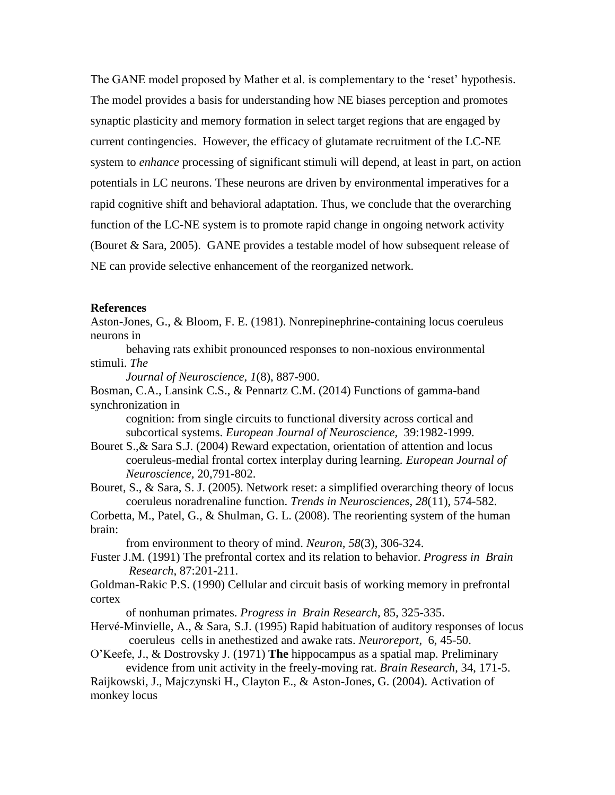The GANE model proposed by Mather et al. is complementary to the 'reset' hypothesis. The model provides a basis for understanding how NE biases perception and promotes synaptic plasticity and memory formation in select target regions that are engaged by current contingencies. However, the efficacy of glutamate recruitment of the LC-NE system to *enhance* processing of significant stimuli will depend, at least in part, on action potentials in LC neurons. These neurons are driven by environmental imperatives for a rapid cognitive shift and behavioral adaptation. Thus, we conclude that the overarching function of the LC-NE system is to promote rapid change in ongoing network activity (Bouret & Sara, 2005). GANE provides a testable model of how subsequent release of NE can provide selective enhancement of the reorganized network.

## **References**

Aston-Jones, G., & Bloom, F. E. (1981). Nonrepinephrine-containing locus coeruleus neurons in

behaving rats exhibit pronounced responses to non-noxious environmental stimuli. *The* 

*Journal of Neuroscience, 1*(8), 887-900.

Bosman, C.A., Lansink C.S., & Pennartz C.M. (2014) Functions of gamma-band synchronization in

cognition: from single circuits to functional diversity across cortical and subcortical systems. *European Journal of Neuroscience,* 39:1982-1999.

Bouret S.,& Sara S.J. (2004) Reward expectation, orientation of attention and locus coeruleus-medial frontal cortex interplay during learning. *European Journal of Neuroscience,* 20,791-802.

Bouret, S., & Sara, S. J. (2005). Network reset: a simplified overarching theory of locus coeruleus noradrenaline function. *Trends in Neurosciences, 28*(11), 574-582.

Corbetta, M., Patel, G., & Shulman, G. L. (2008). The reorienting system of the human brain:

from environment to theory of mind. *Neuron, 58*(3), 306-324.

Fuster J.M. (1991) The prefrontal cortex and its relation to behavior. *Progress in Brain Research*, 87:201-211.

Goldman-Rakic P.S. (1990) Cellular and circuit basis of working memory in prefrontal cortex

of nonhuman primates. *Progress in Brain Research*, 85, 325-335.

Hervé-Minvielle, A., & Sara, S.J. (1995) Rapid habituation of auditory responses of locus coeruleus cells in anethestized and awake rats. *Neuroreport*, 6, 45-50.

O'Keefe, J., & Dostrovsky J. (1971) **The** hippocampus as a spatial map. Preliminary evidence from unit activity in the freely-moving rat. *Brain Research*, 34, 171-5.

Raijkowski, J., Majczynski H., Clayton E., & Aston-Jones, G. (2004). Activation of monkey locus